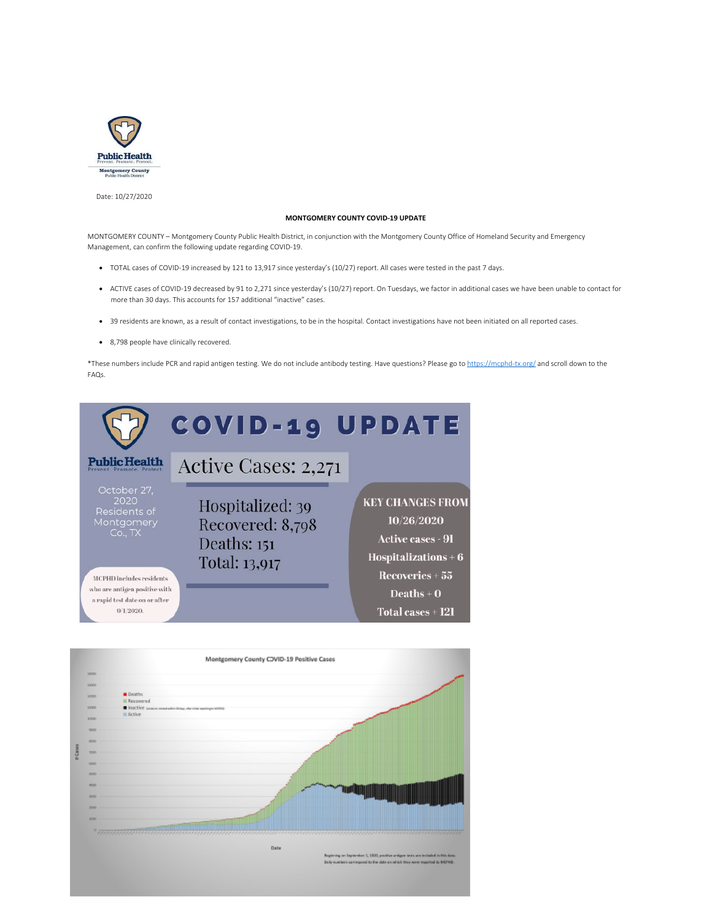

Date: 10/27/2020

## **MONTGOMERY COUNTY COVID-19 UPDATE**

MONTGOMERY COUNTY – Montgomery County Public Health District, in conjunction with the Montgomery County Office of Homeland Security and Emergency Management, can confirm the following update regarding COVID-19.

- · TOTAL cases of COVID-19 increased by 121 to 13,917 since yesterday's (10/27) report. All cases were tested in the past 7 days.
- · ACTIVE cases of COVID-19 decreased by 91 to 2,271 since yesterday's (10/27) report. On Tuesdays, we factor in additional cases we have been unable to contact for more than 30 days. This accounts for 157 additional "inactive" cases.
- · 39 residents are known, as a result of contact investigations, to be in the hospital. Contact investigations have not been initiated on all reported cases.
- · 8,798 people have clinically recovered.

\*These numbers include PCR and rapid antigen testing. We do not include antibody testing. Have questions? Please go to <https://mcphd-tx.org/>and scroll down to the FAQs.



|               |             | Montgomery County CJVID-19 Positive Cases                                         |
|---------------|-------------|-----------------------------------------------------------------------------------|
|               | 14000       |                                                                                   |
|               | 11000       |                                                                                   |
|               |             |                                                                                   |
|               | 11000       | Doublet:                                                                          |
|               | 11000       | <b>Il Recovered</b>                                                               |
|               |             | Inactive summananeousless, derived springs screen<br>III Active                   |
|               | 10000       |                                                                                   |
|               |             |                                                                                   |
|               | 0000        |                                                                                   |
|               | <b>RDOO</b> |                                                                                   |
| <b>HCases</b> |             |                                                                                   |
|               | <b>T000</b> |                                                                                   |
|               | 10000       |                                                                                   |
|               | 1000        |                                                                                   |
|               |             |                                                                                   |
|               | 4000        |                                                                                   |
|               | 3000        |                                                                                   |
|               |             |                                                                                   |
|               | 3500        |                                                                                   |
|               | 3000        |                                                                                   |
|               |             |                                                                                   |
|               |             | <u> 1988 - Andrea Britain, Amerikaansk politiker (d. 1988)</u>                    |
|               |             |                                                                                   |
|               |             | Date                                                                              |
|               |             | Beginning an September 1, 1930, positive antigen tests are included in this data. |
|               |             | bely numbers connegond to the date on which they were reported to MD'9tb.         |
|               |             |                                                                                   |
|               |             |                                                                                   |
|               |             |                                                                                   |